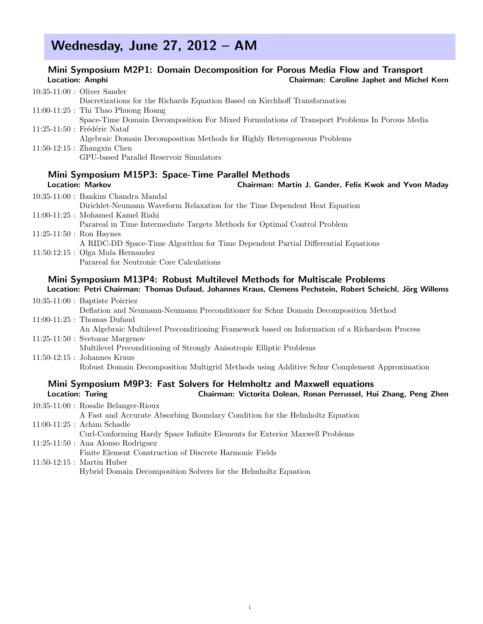## Wednesday, June 27, 2012 – AM

## Mini Symposium M2P1: Domain Decomposition for Porous Media Flow and Transport<br>Chairman: Caroline Japhet and Miche Chairman: Caroline Japhet and Michel Kern

|                           | $10:35-11:00$ : Oliver Sander                                                                                                                                                        |
|---------------------------|--------------------------------------------------------------------------------------------------------------------------------------------------------------------------------------|
|                           | Discretizations for the Richards Equation Based on Kirchhoff Transformation                                                                                                          |
|                           | $11:00-11:25$ : Thi Thao Phuong Hoang                                                                                                                                                |
|                           | Space-Time Domain Decomposition For Mixed Formulations of Transport Problems In Porous Media                                                                                         |
|                           | 11:25-11:50 : Frédéric Nataf                                                                                                                                                         |
|                           | Algebraic Domain Decomposition Methods for Highly Heterogeneous Problems                                                                                                             |
|                           | $11:50-12:15$ : Zhangxin Chen                                                                                                                                                        |
|                           | GPU-based Parallel Reservoir Simulators                                                                                                                                              |
|                           | Mini Symposium M15P3: Space-Time Parallel Methods                                                                                                                                    |
|                           | <b>Location: Markov</b><br>Chairman: Martin J. Gander, Felix Kwok and Yvon Maday                                                                                                     |
|                           | 10:35-11:00 : Bankim Chandra Mandal                                                                                                                                                  |
|                           | Dirichlet-Neumann Waveform Relaxation for the Time Dependent Heat Equation                                                                                                           |
|                           | 11:00-11:25 : Mohamed Kamel Riahi                                                                                                                                                    |
|                           | Parareal in Time Intermediate Targets Methods for Optimal Control Problem                                                                                                            |
| $11:25-11:50:$ Ron Haynes |                                                                                                                                                                                      |
|                           | A RIDC-DD Space-Time Algorithm for Time Dependent Partial Differential Equations                                                                                                     |
|                           | $11:50:12:15$ : Olga Mula Hernandez                                                                                                                                                  |
|                           | Parareal for Neutronic Core Calculations                                                                                                                                             |
|                           | Mini Symposium M13P4: Robust Multilevel Methods for Multiscale Problems<br>Location: Petri Chairman: Thomas Dufaud, Johannes Kraus, Clemens Pechstein, Robert Scheichl, Jörg Willems |
|                           | $10.35 - 11.00 \cdot$ Reptiste Poirriez                                                                                                                                              |

| 10:35-11:00 : Baptiste Poirriez                                                                |
|------------------------------------------------------------------------------------------------|
| Deflation and Neumann-Neumann Preconditioner for Schur Domain Decomposition Method             |
| $11:00-11:25$ : Thomas Dufaud                                                                  |
| An Algebraic Multilevel Preconditioning Framework based on Information of a Richardson Process |
| $11:25-11:50$ : Svetozar Margenov                                                              |
| Multilevel Preconditioning of Strongly Anisotropic Elliptic Problems                           |
| $11:50-12:15$ : Johannes Kraus                                                                 |
| Robust Domain Decomposition Multigrid Methods using Additive Schur Complement Approximation    |
|                                                                                                |

#### Mini Symposium M9P3: Fast Solvers for Helmholtz and Maxwell equations Location: Turing Chairman: Victorita Dolean, Ronan Perrussel, Hui Zhang, Peng Zhen

| 10:35-11:00 : Rosalie Belanger-Rioux                                        |
|-----------------------------------------------------------------------------|
| A Fast and Accurate Absorbing Boundary Condition for the Helmholtz Equation |
| $11:00-11:25$ : Achim Schadle                                               |
| Curl-Conforming Hardy Space Infinite Elements for Exterior Maxwell Problems |
| $11:25-11:50$ : Ana Alonso Rodriguez                                        |
| Finite Element Construction of Discrete Harmonic Fields                     |
| $11:50-12:15$ : Martin Huber                                                |
| Hybrid Domain Decomposition Solvers for the Helmholtz Equation              |
|                                                                             |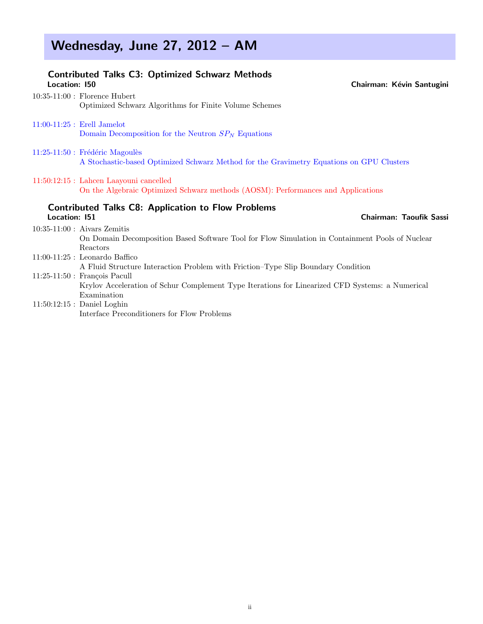# Wednesday, June 27, 2012 - AM

| <b>Location: 150</b> | <b>Contributed Talks C3: Optimized Schwarz Methods</b>                                                                      | Chairman: Kévin Santugini |
|----------------------|-----------------------------------------------------------------------------------------------------------------------------|---------------------------|
|                      | $10:35-11:00$ : Florence Hubert                                                                                             |                           |
|                      | Optimized Schwarz Algorithms for Finite Volume Schemes                                                                      |                           |
|                      | $11:00-11:25$ : Erell Jamelot                                                                                               |                           |
|                      | Domain Decomposition for the Neutron $SP_N$ Equations                                                                       |                           |
|                      | 11:25-11:50 : Frédéric Magoulès                                                                                             |                           |
|                      | A Stochastic-based Optimized Schwarz Method for the Gravimetry Equations on GPU Clusters                                    |                           |
|                      | 11:50:12:15 : Lahcen Laayouni cancelled<br>On the Algebraic Optimized Schwarz methods (AOSM): Performances and Applications |                           |
| Location: 151        | <b>Contributed Talks C8: Application to Flow Problems</b>                                                                   | Chairman: Taoufik Sassi   |
|                      | $10:35-11:00$ : Aivars Zemitis                                                                                              |                           |
|                      | On Domain Decomposition Based Software Tool for Flow Simulation in Containment Pools of Nuclear<br>Reactors                 |                           |
|                      | $11:00-11:25$ : Leonardo Baffico                                                                                            |                           |
|                      | A Fluid Structure Interaction Problem with Friction-Type Slip Boundary Condition                                            |                           |
|                      | $11:25-11:50$ : François Pacull                                                                                             |                           |
|                      | Krylov Acceleration of Schur Complement Type Iterations for Linearized CFD Systems: a Numerical                             |                           |
|                      | Examination                                                                                                                 |                           |
|                      | $11:50:12:15$ : Daniel Loghin                                                                                               |                           |
|                      | Interface Preconditioners for Flow Problems                                                                                 |                           |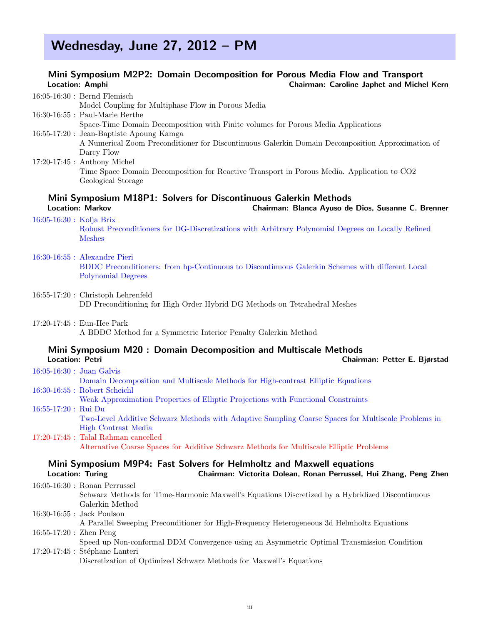# Wednesday, June 27, 2012 – PM

#### Mini Symposium M2P2: Domain Decomposition for Porous Media Flow and Transport Location: Amphi Chairman: Caroline Japhet and Michel Kern

|                              | $16:05-16:30$ : Bernd Flemisch                                                                                                                    |
|------------------------------|---------------------------------------------------------------------------------------------------------------------------------------------------|
|                              | Model Coupling for Multiphase Flow in Porous Media                                                                                                |
|                              | $16:30-16:55$ : Paul-Marie Berthe                                                                                                                 |
|                              | Space-Time Domain Decomposition with Finite volumes for Porous Media Applications                                                                 |
|                              | 16:55-17:20 : Jean-Baptiste Apoung Kamga                                                                                                          |
|                              | A Numerical Zoom Preconditioner for Discontinuous Galerkin Domain Decomposition Approximation of                                                  |
|                              | Darcy Flow                                                                                                                                        |
|                              | $17:20-17:45$ : Anthony Michel                                                                                                                    |
|                              | Time Space Domain Decomposition for Reactive Transport in Porous Media. Application to CO2                                                        |
|                              | Geological Storage                                                                                                                                |
|                              | Mini Symposium M18P1: Solvers for Discontinuous Galerkin Methods<br><b>Location: Markov</b><br>Chairman: Blanca Ayuso de Dios, Susanne C. Brenner |
| $16:05 - 16:30$ : Kolja Brix |                                                                                                                                                   |
|                              | Robust Preconditioners for DG-Discretizations with Arbitrary Polynomial Degrees on Locally Refined<br><b>Meshes</b>                               |

- 16:30-16:55 : Alexandre Pieri BDDC Preconditioners: from hp-Continuous to Discontinuous Galerkin Schemes with different Local Polynomial Degrees
- 16:55-17:20 : Christoph Lehrenfeld DD Preconditioning for High Order Hybrid DG Methods on Tetrahedral Meshes
- 17:20-17:45 : Eun-Hee Park A BDDC Method for a Symmetric Interior Penalty Galerkin Method

### Mini Symposium M20 : Domain Decomposition and Multiscale Methods

| Location: Petri      | Chairman: Petter E. Bjørstad                                                                       |
|----------------------|----------------------------------------------------------------------------------------------------|
|                      | $16:05 - 16:30$ : Juan Galvis                                                                      |
|                      | Domain Decomposition and Multiscale Methods for High-contrast Elliptic Equations                   |
|                      | $16:30-16:55$ : Robert Scheichl                                                                    |
|                      | Weak Approximation Properties of Elliptic Projections with Functional Constraints                  |
| 16:55-17:20 : Rui Du |                                                                                                    |
|                      | Two-Level Additive Schwarz Methods with Adaptive Sampling Coarse Spaces for Multiscale Problems in |
|                      | High Contrast Media                                                                                |
|                      | $17:20-17:45$ : Talal Rahman cancelled                                                             |
|                      | Alternative Coarse Spaces for Additive Schwarz Methods for Multiscale Elliptic Problems            |
|                      |                                                                                                    |
|                      | Mini Symposium M9P4: Fast Solvers for Helmholtz and Maxwell equations                              |

| <b>Location: Turing</b>   | Chairman: Victorita Dolean, Ronan Perrussel, Hui Zhang, Peng Zhen                               |
|---------------------------|-------------------------------------------------------------------------------------------------|
|                           | $16:05-16:30$ : Ronan Perrussel                                                                 |
|                           | Schwarz Methods for Time-Harmonic Maxwell's Equations Discretized by a Hybridized Discontinuous |
|                           | Galerkin Method                                                                                 |
|                           | $16:30-16:55$ : Jack Poulson                                                                    |
|                           | A Parallel Sweeping Preconditioner for High-Frequency Heterogeneous 3d Helmholtz Equations      |
| $16:55-17:20$ : Zhen Peng |                                                                                                 |
|                           | Speed up Non-conformal DDM Convergence using an Asymmetric Optimal Transmission Condition       |
|                           | $17:20-17:45$ : Stéphane Lanteri                                                                |
|                           | Discretization of Optimized Schwarz Methods for Maxwell's Equations                             |
|                           |                                                                                                 |